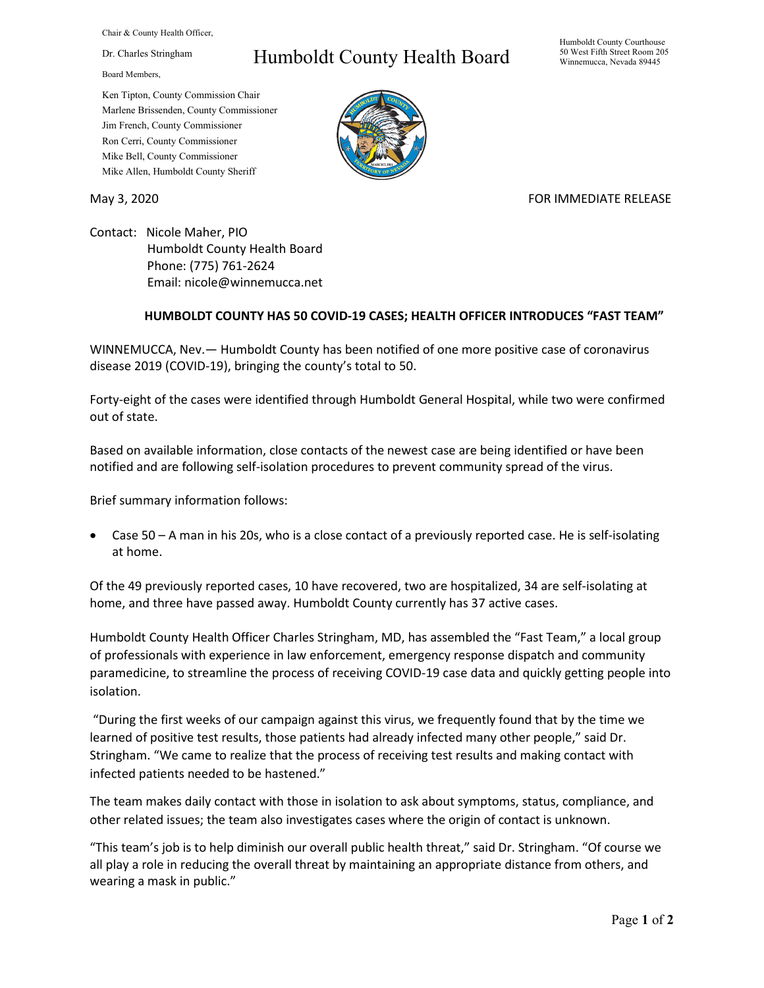Chair & County Health Officer,

Dr. Charles Stringham

Board Members,

## Humboldt County Health Board

Humboldt County Courthouse 50 West Fifth Street Room 205 Winnemucca, Nevada 89445

Ken Tipton, County Commission Chair Marlene Brissenden, County Commissioner Jim French, County Commissioner Ron Cerri, County Commissioner Mike Bell, County Commissioner Mike Allen, Humboldt County Sheriff

## May 3, 2020 FOR IMMEDIATE RELEASE

Contact: Nicole Maher, PIO Humboldt County Health Board Phone: (775) 761-2624 Email: nicole@winnemucca.net

## **HUMBOLDT COUNTY HAS 50 COVID-19 CASES; HEALTH OFFICER INTRODUCES "FAST TEAM"**

WINNEMUCCA, Nev.— Humboldt County has been notified of one more positive case of coronavirus disease 2019 (COVID-19), bringing the county's total to 50.

Forty-eight of the cases were identified through Humboldt General Hospital, while two were confirmed out of state.

Based on available information, close contacts of the newest case are being identified or have been notified and are following self-isolation procedures to prevent community spread of the virus.

Brief summary information follows:

• Case 50 – A man in his 20s, who is a close contact of a previously reported case. He is self-isolating at home.

Of the 49 previously reported cases, 10 have recovered, two are hospitalized, 34 are self-isolating at home, and three have passed away. Humboldt County currently has 37 active cases.

Humboldt County Health Officer Charles Stringham, MD, has assembled the "Fast Team," a local group of professionals with experience in law enforcement, emergency response dispatch and community paramedicine, to streamline the process of receiving COVID-19 case data and quickly getting people into isolation.

"During the first weeks of our campaign against this virus, we frequently found that by the time we learned of positive test results, those patients had already infected many other people," said Dr. Stringham. "We came to realize that the process of receiving test results and making contact with infected patients needed to be hastened."

The team makes daily contact with those in isolation to ask about symptoms, status, compliance, and other related issues; the team also investigates cases where the origin of contact is unknown.

"This team's job is to help diminish our overall public health threat," said Dr. Stringham. "Of course we all play a role in reducing the overall threat by maintaining an appropriate distance from others, and wearing a mask in public."